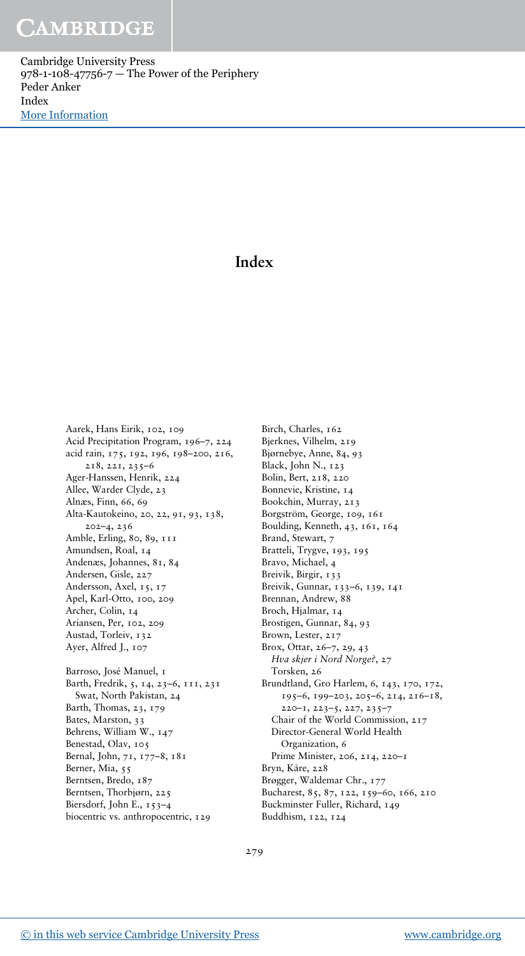Cambridge University Press 978-1-108-47756-7 — The Power of the Periphery Peder Anker Index [More Information](www.cambridge.org/9781108477567)

### **Index**

Aarek, Hans Eirik, 102, 109 Acid Precipitation Program, 196–7, 224 acid rain, 175, 192, 196, 198–200, 216, 218, 221, 235–6 Ager-Hanssen, Henrik, 224 Allee, Warder Clyde, 23 Alnæs, Finn, 66, 69 Alta-Kautokeino, 20, 22, 91, 93, 138, 202–4, 236 Amble, Erling, 80, 89, 111 Amundsen, Roal, 14 Andenæs, Johannes, 81, 84 Andersen, Gisle, 227 Andersson, Axel, 15, 17 Apel, Karl-Otto, 100, 209 Archer, Colin, 14 Ariansen, Per, 102, 209 Austad, Torleiv, 132 Ayer, Alfred J., 107 Barroso, José Manuel, 1 Barth, Fredrik, 5, 14, 23–6, 111, 231 Swat, North Pakistan, 24 Barth, Thomas, 23, 179 Bates, Marston, 33 Behrens, William W., 147 Benestad, Olav, 105 Bernal, John, 71, 177–8, 181 Berner, Mia, 55 Berntsen, Bredo, 187 Berntsen, Thorbjørn, 225 Biersdorf, John E., 153–4 biocentric vs. anthropocentric, 129

Birch, Charles, 162 Bjerknes, Vilhelm, 219 Bjørnebye, Anne, 84, 93 Black, John N., 123 Bolin, Bert, 218, 220 Bonnevie, Kristine, 14 Bookchin, Murray, 213 Borgström, George, 109, 161 Boulding, Kenneth, 43, 161, 164 Brand, Stewart, 7 Bratteli, Trygve, 193, 195 Bravo, Michael, 4 Breivik, Birgir, 133 Breivik, Gunnar, 133–6, 139, 141 Brennan, Andrew, 88 Broch, Hjalmar, 14 Brostigen, Gunnar, 84, 93 Brown, Lester, 217 Brox, Ottar, 26–7, 29, 43 *Hva skjer i Nord Norge?*, 27 Torsken, 26 Brundtland, Gro Harlem, 6, 143, 170, 172, 195–6, 199–203, 205–6, 214, 216–18, 220–1, 223–5, 227, 235–7 Chair of the World Commission, 217 Director-General World Health Organization, 6 Prime Minister, 206, 214, 220–1 Bryn, Kåre, 228 Brøgger, Waldemar Chr., 177 Bucharest, 85, 87, 122, 159–60, 166, 210 Buckminster Fuller, Richard, 149 Buddhism, 122, 124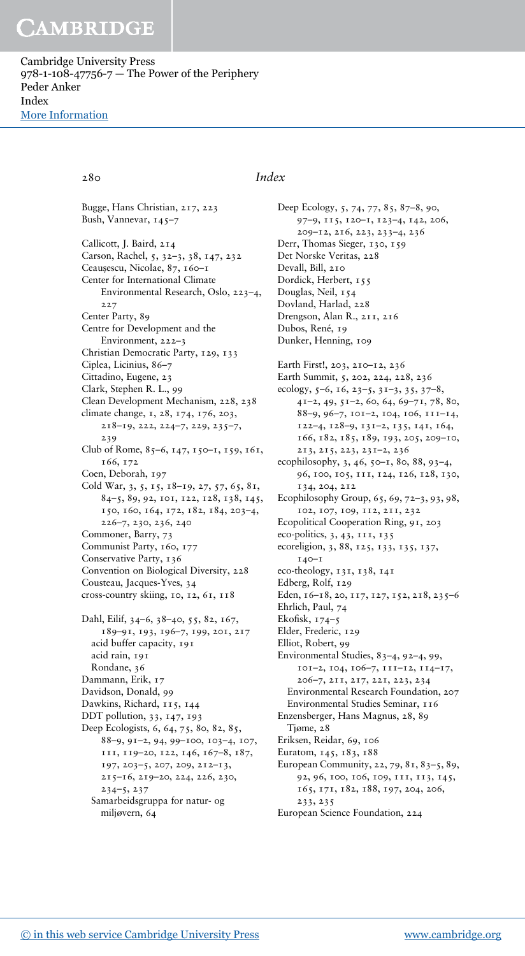Cambridge University Press 978-1-108-47756-7 — The Power of the Periphery Peder Anker Index [More Information](www.cambridge.org/9781108477567)

#### 280 *Index*

Bugge, Hans Christian, 217, 223 Bush, Vannevar, 145–7 Callicott, J. Baird, 214 Carson, Rachel, 5, 32–3, 38, 147, 232 Ceauşescu, Nicolae, 87, 160–1 Center for International Climate Environmental Research, Oslo, 223–4, 227 Center Party, 89 Centre for Development and the Environment, 222–3 Christian Democratic Party, 129, 133 Ciplea, Licinius, 86–7 Cittadino, Eugene, 23 Clark, Stephen R. L., 99 Clean Development Mechanism, 228, 238 climate change, 1, 28, 174, 176, 203, 218–19, 222, 224–7, 229, 235–7, 239 Club of Rome, 85–6, 147, 150–1, 159, 161, 166, 172 Coen, Deborah, 197 Cold War, 3, 5, 15, 18–19, 27, 57, 65, 81, 84–5, 89, 92, 101, 122, 128, 138, 145, 150, 160, 164, 172, 182, 184, 203–4, 226–7, 230, 236, 240 Commoner, Barry, 73 Communist Party, 160, 177 Conservative Party, 136 Convention on Biological Diversity, 228 Cousteau, Jacques-Yves, 34 cross-country skiing, 10, 12, 61, 118 Dahl, Eilif, 34–6, 38–40, 55, 82, 167, 189–91, 193, 196–7, 199, 201, 217 acid buffer capacity, 191 acid rain, 191 Rondane, 36 Dammann, Erik, 17 Davidson, Donald, 99 Dawkins, Richard, 115, 144 DDT pollution, 33, 147, 193 Deep Ecologists, 6, 64, 75, 80, 82, 85, 88–9, 91–2, 94, 99–100, 103–4, 107, 111, 119–20, 122, 146, 167–8, 187, 197, 203–5, 207, 209, 212–13, 215–16, 219–20, 224, 226, 230, 234–5, 237

Samarbeidsgruppa for natur- og miljøvern, 64

Deep Ecology, 5, 74, 77, 85, 87–8, 90, 97–9, 115, 120–1, 123–4, 142, 206, 209–12, 216, 223, 233–4, 236 Derr, Thomas Sieger, 130, 159 Det Norske Veritas, 228 Devall, Bill, 210 Dordick, Herbert, 155 Douglas, Neil, 154 Dovland, Harlad, 228 Drengson, Alan R., 211, 216 Dubos, René, 19 Dunker, Henning, 109 Earth First!, 203, 210–12, 236 Earth Summit, 5, 202, 224, 228, 236 ecology, 5–6, 16, 23–5, 31–3, 35, 37–8, 41–2, 49, 51–2, 60, 64, 69–71, 78, 80, 88–9, 96–7, 101–2, 104, 106, 111–14, 122–4, 128–9, 131–2, 135, 141, 164, 166, 182, 185, 189, 193, 205, 209–10, 213, 215, 223, 231–2, 236 ecophilosophy, 3, 46, 50–1, 80, 88, 93–4, 96, 100, 105, 111, 124, 126, 128, 130, 134, 204, 212 Ecophilosophy Group, 65, 69, 72–3, 93, 98, 102, 107, 109, 112, 211, 232 Ecopolitical Cooperation Ring, 91, 203 eco-politics, 3, 43, 111, 135 ecoreligion, 3, 88, 125, 133, 135, 137, 140–1 eco-theology, 131, 138, 141 Edberg, Rolf, 129 Eden, 16-18, 20, 117, 127, 152, 218, 235-6 Ehrlich, Paul, 74 Ekofisk, 174–5 Elder, Frederic, 129 Elliot, Robert, 99 Environmental Studies, 83–4, 92–4, 99, 101–2, 104, 106–7, 111–12, 114–17, 206–7, 211, 217, 221, 223, 234 Environmental Research Foundation, 207 Environmental Studies Seminar, 116 Enzensberger, Hans Magnus, 28, 89 Tjøme, 28 Eriksen, Reidar, 69, 106 Euratom, 145, 183, 188 European Community, 22, 79, 81, 83–5, 89, 92, 96, 100, 106, 109, 111, 113, 145, 165, 171, 182, 188, 197, 204, 206, 233, 235

European Science Foundation, 224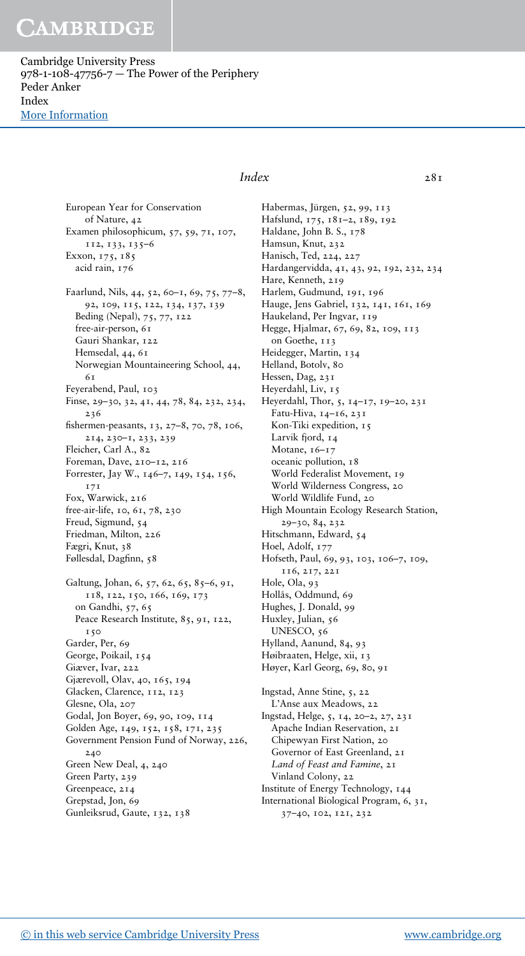Cambridge University Press 978-1-108-47756-7 — The Power of the Periphery Peder Anker Index [More Information](www.cambridge.org/9781108477567)

> European Year for Conservation of Nature, 42 Examen philosophicum, 57, 59, 71, 107, 112, 133, 135–6 Exxon, 175, 185 acid rain, 176 Faarlund, Nils, 44, 52, 60–1, 69, 75, 77–8, 92, 109, 115, 122, 134, 137, 139 Beding (Nepal), 75, 77, 122 free-air-person, 61 Gauri Shankar, 122 Hemsedal, 44, 61 Norwegian Mountaineering School, 44,  $6<sub>T</sub>$ Feyerabend, Paul, 103 Finse, 29–30, 32, 41, 44, 78, 84, 232, 234, 236 fishermen-peasants, 13, 27–8, 70, 78, 106, 214, 230–1, 233, 239 Fleicher, Carl A., 82 Foreman, Dave, 210–12, 216 Forrester, Jay W., 146–7, 149, 154, 156, 171 Fox, Warwick, 216 free-air-life, 10, 61, 78, 230 Freud, Sigmund, 54 Friedman, Milton, 226 Fægri, Knut, 38 Føllesdal, Dagfinn, 58 Galtung, Johan, 6, 57, 62, 65, 85–6, 91, 118, 122, 150, 166, 169, 173 on Gandhi, 57, 65 Peace Research Institute, 85, 91, 122, 150 Garder, Per, 69 George, Poikail, 154 Giæver, Ivar, 222 Gjærevoll, Olav, 40, 165, 194 Glacken, Clarence, 112, 123 Glesne, Ola, 207 Godal, Jon Boyer, 69, 90, 109, 114 Golden Age, 149, 152, 158, 171, 235 Government Pension Fund of Norway, 226, 240 Green New Deal, 4, 240 Green Party, 239 Greenpeace, 214 Grepstad, Jon, 69 Gunleiksrud, Gaute, 132, 138

### *Index* 281

Habermas, Jürgen, 52, 99, 113 Hafslund, 175, 181–2, 189, 192 Haldane, John B. S., 178 Hamsun, Knut, 232 Hanisch, Ted, 224, 227 Hardangervidda, 41, 43, 92, 192, 232, 234 Hare, Kenneth, 219 Harlem, Gudmund, 191, 196 Hauge, Jens Gabriel, 132, 141, 161, 169 Haukeland, Per Ingvar, 119 Hegge, Hjalmar, 67, 69, 82, 109, 113 on Goethe, 113 Heidegger, Martin, 134 Helland, Botolv, 80 Hessen, Dag, 231 Heyerdahl, Liv, 15 Heyerdahl, Thor, 5, 14–17, 19–20, 231 Fatu-Hiva, 14–16, 231 Kon-Tiki expedition, 15 Larvik fjord, 14 Motane, 16-17 oceanic pollution, 18 World Federalist Movement, 19 World Wilderness Congress, 20 World Wildlife Fund, 20 High Mountain Ecology Research Station, 29–30, 84, 232 Hitschmann, Edward, 54 Hoel, Adolf, 177 Hofseth, Paul, 69, 93, 103, 106–7, 109, 116, 217, 221 Hole, Ola, 93 Hollås, Oddmund, 69 Hughes, J. Donald, 99 Huxley, Julian, 56 UNESCO, 56 Hylland, Aanund, 84, 93 Høibraaten, Helge, xii, 13 Høyer, Karl Georg, 69, 80, 91 Ingstad, Anne Stine, 5, 22 L'Anse aux Meadows, 22 Ingstad, Helge, 5, 14, 20–2, 27, 231 Apache Indian Reservation, 21 Chipewyan First Nation, 20 Governor of East Greenland, 21 *Land of Feast and Famine*, 21 Vinland Colony, 22 Institute of Energy Technology, 144 International Biological Program, 6, 31, 37–40, 102, 121, 232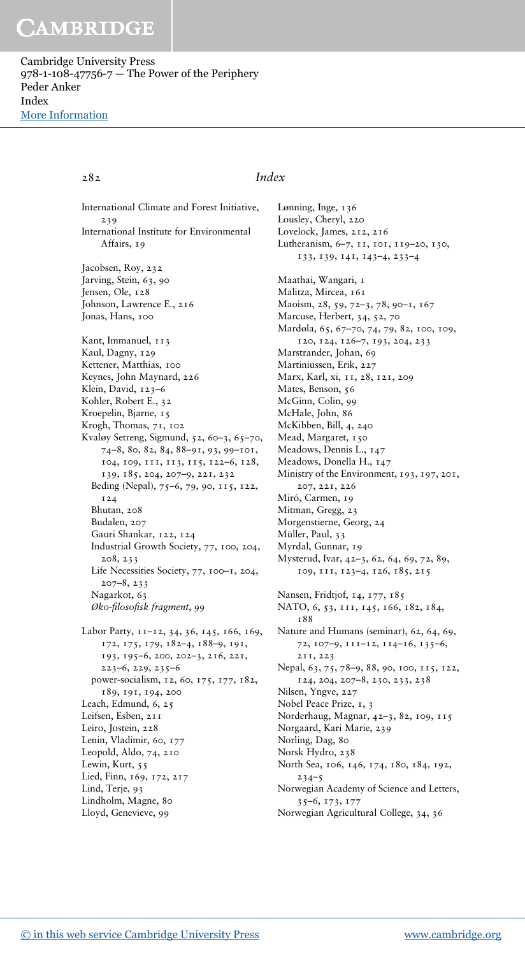Cambridge University Press 978-1-108-47756-7 — The Power of the Periphery Peder Anker Index [More Information](www.cambridge.org/9781108477567)

282 *Index*

Lønning, Inge, 136 Lousley, Cheryl, 220 Lovelock, James, 212, 216

Nilsen, Yngve, 227 Nobel Peace Prize, 1, 3

 $234 - 5$ 

Norgaard, Kari Marie, 239 Norling, Dag, 80 Norsk Hydro, 238

35–6, 173, 177

Norderhaug, Magnar, 42–3, 82, 109, 115

North Sea, 106, 146, 174, 180, 184, 192,

Norwegian Academy of Science and Letters,

Norwegian Agricultural College, 34, 36

International Climate and Forest Initiative, 239 International Institute for Environmental Affairs, 19 Jacobsen, Roy, 232 Jarving, Stein, 63, 90 Jensen, Ole, 128 Johnson, Lawrence E., 216 Jonas, Hans, 100 Kant, Immanuel, 113 Kaul, Dagny, 129 Kettener, Matthias, 100 Keynes, John Maynard, 226 Klein, David, 123–6 Kohler, Robert E., 32 Kroepelin, Bjarne, 15 Krogh, Thomas, 71, 102 Kvaløy Setreng, Sigmund, 52, 60–3, 65–70, 74–8, 80, 82, 84, 88–91, 93, 99–101, 104, 109, 111, 113, 115, 122–6, 128, 139, 185, 204, 207–9, 221, 232 Beding (Nepal), 75–6, 79, 90, 115, 122, 124 Bhutan, 208 Budalen, 207 Gauri Shankar, 122, 124 Industrial Growth Society, 77, 100, 204, 208, 233 Life Necessities Society, 77, 100–1, 204, 207–8, 233 Nagarkot, 63 *Øko-filosofisk fragment*, 99 Labor Party, 11-12, 34, 36, 145, 166, 169, 172, 175, 179, 182–4, 188–9, 191, 193, 195–6, 200, 202–3, 216, 221, 223–6, 229, 235–6 power-socialism, 12, 60, 175, 177, 182,

189, 191, 194, 200 Leach, Edmund, 6, 25 Leifsen, Esben, 211 Leiro, Jostein, 228 Lenin, Vladimir, 60, 177 Leopold, Aldo, 74, 210 Lewin, Kurt, 55 Lied, Finn, 169, 172, 217 Lind, Terje, 93 Lindholm, Magne, 80 Lloyd, Genevieve, 99

#### Lutheranism, 6–7, 11, 101, 119–20, 130, 133, 139, 141, 143–4, 233–4 Maathai, Wangari, 1 Malitza, Mircea, 161 Maoism, 28, 59, 72–3, 78, 90–1, 167 Marcuse, Herbert, 34, 52, 70 Mardøla, 65, 67–70, 74, 79, 82, 100, 109, 120, 124, 126–7, 193, 204, 233 Marstrander, Johan, 69 Martiniussen, Erik, 227 Marx, Karl, xi, 11, 28, 121, 209 Mates, Benson, 56 McGinn, Colin, 99 McHale, John, 86 McKibben, Bill, 4, 240 Mead, Margaret, 150 Meadows, Dennis L., 147 Meadows, Donella H., 147 Ministry of the Environment, 193, 197, 201, 207, 221, 226 Miró, Carmen, 19 Mitman, Gregg, 23 Morgenstierne, Georg, 24 Müller, Paul, 33 Myrdal, Gunnar, 19 Mysterud, Ivar, 42–3, 62, 64, 69, 72, 89, 109, 111, 123–4, 126, 185, 215 Nansen, Fridtjof, 14, 177, 185 NATO, 6, 53, 111, 145, 166, 182, 184, 188 Nature and Humans (seminar), 62, 64, 69, 72, 107–9, 111–12, 114–16, 135–6, 211, 223 Nepal, 63, 75, 78-9, 88, 90, 100, 115, 122, 124, 204, 207–8, 230, 233, 238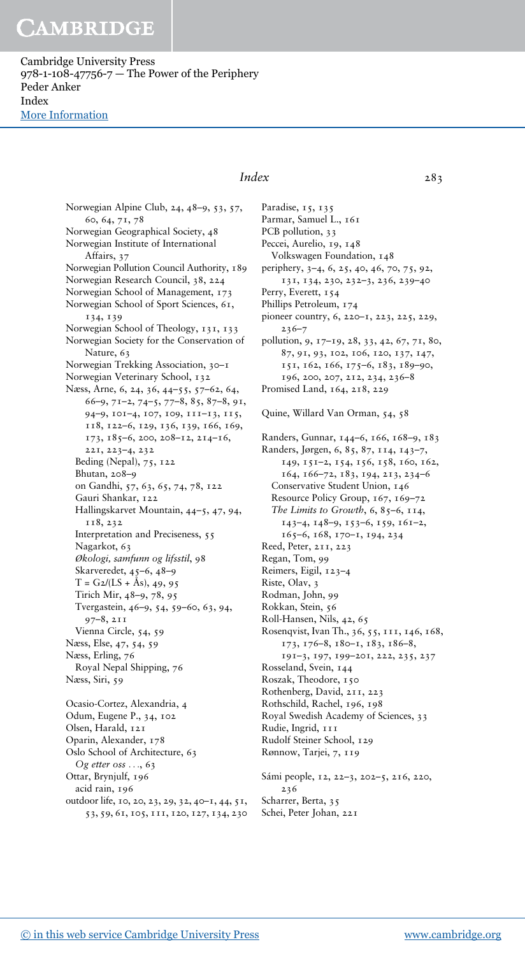Cambridge University Press 978-1-108-47756-7 — The Power of the Periphery Peder Anker Index [More Information](www.cambridge.org/9781108477567)

> Norwegian Alpine Club, 24, 48–9, 53, 57, 60, 64, 71, 78 Norwegian Geographical Society, 48 Norwegian Institute of International Affairs, 37 Norwegian Pollution Council Authority, 189 Norwegian Research Council, 38, 224 Norwegian School of Management, 173 Norwegian School of Sport Sciences, 61, 134, 139 Norwegian School of Theology, 131, 133 Norwegian Society for the Conservation of Nature, 63 Norwegian Trekking Association, 30–1 Norwegian Veterinary School, 132 Næss, Arne, 6, 24, 36, 44–55, 57–62, 64, 66–9, 71–2, 74–5, 77–8, 85, 87–8, 91, 94–9, 101–4, 107, 109, 111–13, 115, 118, 122–6, 129, 136, 139, 166, 169, 173, 185–6, 200, 208–12, 214–16, 221, 223–4, 232 Beding (Nepal), 75, 122 Bhutan, 208–9 on Gandhi, 57, 63, 65, 74, 78, 122 Gauri Shankar, 122 Hallingskarvet Mountain, 44–5, 47, 94, 118, 232 Interpretation and Preciseness, 55 Nagarkot, 63 *Økologi, samfunn og lifsstil*, 98 Skarveredet, 45–6, 48–9  $T = G_2 / (LS + Ås), 49, 95$ Tirich Mir, 48–9, 78, 95 Tvergastein, 46–9, 54, 59–60, 63, 94, 97–8, 211 Vienna Circle, 54, 59 Næss, Else, 47, 54, 59 Næss, Erling, 76 Royal Nepal Shipping, 76 Næss, Siri, 59 Ocasio-Cortez, Alexandria, 4 Odum, Eugene P., 34, 102 Olsen, Harald, 121 Oparin, Alexander, 178 Oslo School of Architecture, 63

Ottar, Brynjulf, 196 acid rain, 196 outdoor life, 10, 20, 23, 29, 32, 40–1, 44, 51, 53, 59, 61, 105, 111, 120, 127, 134, 230

*Og etter oss* ..., 63

### *Index* 283

Paradise, 15, 135 Parmar, Samuel L., 161 PCB pollution, 33 Peccei, Aurelio, 19, 148 Volkswagen Foundation, 148 periphery, 3–4, 6, 25, 40, 46, 70, 75, 92, 131, 134, 230, 232–3, 236, 239–40 Perry, Everett, 154 Phillips Petroleum, 174 pioneer country, 6, 220–1, 223, 225, 229,  $236 - 7$ pollution, 9, 17–19, 28, 33, 42, 67, 71, 80, 87, 91, 93, 102, 106, 120, 137, 147, 151, 162, 166, 175–6, 183, 189–90, 196, 200, 207, 212, 234, 236–8 Promised Land, 164, 218, 229 Quine, Willard Van Orman, 54, 58 Randers, Gunnar, 144–6, 166, 168–9, 183 Randers, Jørgen, 6, 85, 87, 114, 143–7, 149, 151–2, 154, 156, 158, 160, 162, 164, 166–72, 183, 194, 213, 234–6 Conservative Student Union, 146 Resource Policy Group, 167, 169-72 *The Limits to Growth*, 6, 85–6, 114, 143–4, 148–9, 153–6, 159, 161–2, 165–6, 168, 170–1, 194, 234 Reed, Peter, 211, 223 Regan, Tom, 99 Reimers, Eigil, 123–4 Riste, Olav, 3 Rodman, John, 99 Rokkan, Stein, 56 Roll-Hansen, Nils, 42, 65 Rosenqvist, Ivan Th., 36, 55, 111, 146, 168, 173, 176–8, 180–1, 183, 186–8, 191–3, 197, 199–201, 222, 235, 237 Rosseland, Svein, 144 Roszak, Theodore, 150 Rothenberg, David, 211, 223 Rothschild, Rachel, 196, 198 Royal Swedish Academy of Sciences, 33 Rudie, Ingrid, 111 Rudolf Steiner School, 129 Rønnow, Tarjei, 7, 119

Sámi people, 12, 22–3, 202–5, 216, 220, 236 Scharrer, Berta, 35 Schei, Peter Johan, 221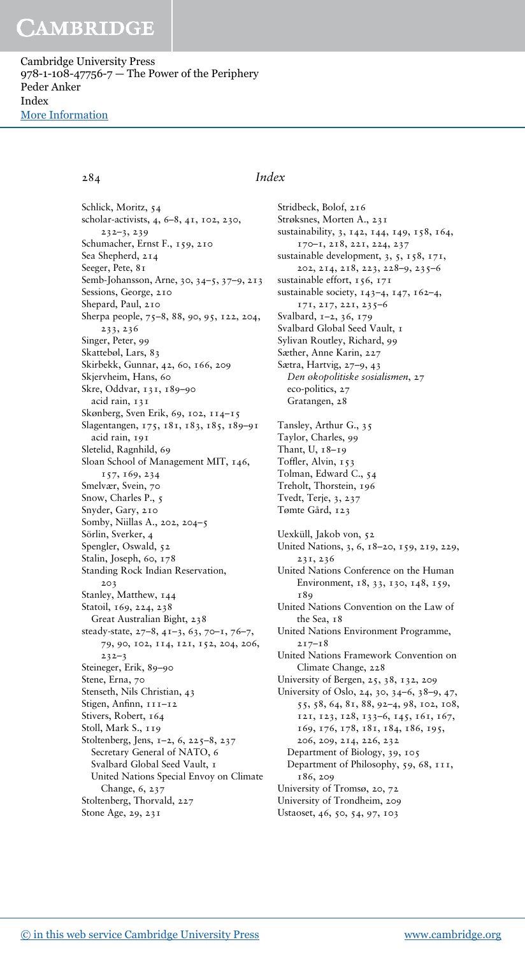Cambridge University Press 978-1-108-47756-7 — The Power of the Periphery Peder Anker Index [More Information](www.cambridge.org/9781108477567)

Schlick, Moritz, 54 scholar-activists, 4, 6–8, 41, 102, 230, 232–3, 239 Schumacher, Ernst F., 159, 210 Sea Shepherd, 214 Seeger, Pete, 81 Semb-Johansson, Arne, 30, 34–5, 37–9, 213 Sessions, George, 210 Shepard, Paul, 210 Sherpa people, 75–8, 88, 90, 95, 122, 204, 233, 236 Singer, Peter, 99 Skattebøl, Lars, 83 Skirbekk, Gunnar, 42, 60, 166, 209 Skjervheim, Hans, 60 Skre, Oddvar, 131, 189–90 acid rain, 131 Skønberg, Sven Erik, 69, 102, 114–15 Slagentangen, 175, 181, 183, 185, 189–91 acid rain, 191 Sletelid, Ragnhild, 69 Sloan School of Management MIT, 146, 157, 169, 234 Smelvær, Svein, 70 Snow, Charles P., 5 Snyder, Gary, 210 Somby, Niillas A., 202, 204–5 Sörlin, Sverker, 4 Spengler, Oswald, 52 Stalin, Joseph, 60, 178 Standing Rock Indian Reservation, 203 Stanley, Matthew, 144 Statoil, 169, 224, 238 Great Australian Bight, 238 steady-state, 27–8, 41–3, 63, 70–1, 76–7, 79, 90, 102, 114, 121, 152, 204, 206,  $232 - 3$ Steineger, Erik, 89–90 Stene, Erna, 70 Stenseth, Nils Christian, 43 Stigen, Anfinn, 111–12 Stivers, Robert, 164 Stoll, Mark S., 119 Stoltenberg, Jens, 1–2, 6, 225–8, 237 Secretary General of NATO, 6 Svalbard Global Seed Vault, 1 United Nations Special Envoy on Climate Change, 6, 237 Stoltenberg, Thorvald, 227 Stone Age, 29, 231

#### 284 *Index*

Stridbeck, Bolof, 216 Strøksnes, Morten A., 231 sustainability, 3, 142, 144, 149, 158, 164, 170–1, 218, 221, 224, 237 sustainable development, 3, 5, 158, 171, 202, 214, 218, 223, 228–9, 235–6 sustainable effort, 156, 171 sustainable society, 143–4, 147, 162–4, 171, 217, 221, 235–6 Svalbard, 1–2, 36, 179 Svalbard Global Seed Vault, 1 Sylivan Routley, Richard, 99 Sæther, Anne Karin, 227 Sætra, Hartvig, 27–9, 43 *Den økopolitiske sosialismen*, 27 eco-politics, 27 Gratangen, 28 Tansley, Arthur G., 35 Taylor, Charles, 99 Thant, U, 18–19 Toffler, Alvin, 153 Tolman, Edward C., 54 Treholt, Thorstein, 196 Tvedt, Terje, 3, 237 Tømte Gård, 123 Uexküll, Jakob von, 52 United Nations, 3, 6, 18–20, 159, 219, 229, 231, 236 United Nations Conference on the Human Environment, 18, 33, 130, 148, 159, 189 United Nations Convention on the Law of the Sea, 18 United Nations Environment Programme, 217–18 United Nations Framework Convention on Climate Change, 228 University of Bergen, 25, 38, 132, 209 University of Oslo, 24, 30, 34–6, 38–9, 47, 55, 58, 64, 81, 88, 92–4, 98, 102, 108, 121, 123, 128, 133–6, 145, 161, 167, 169, 176, 178, 181, 184, 186, 195, 206, 209, 214, 226, 232 Department of Biology, 39, 105 Department of Philosophy, 59, 68, 111, 186, 209 University of Tromsø, 20, 72 University of Trondheim, 209 Ustaoset, 46, 50, 54, 97, 103